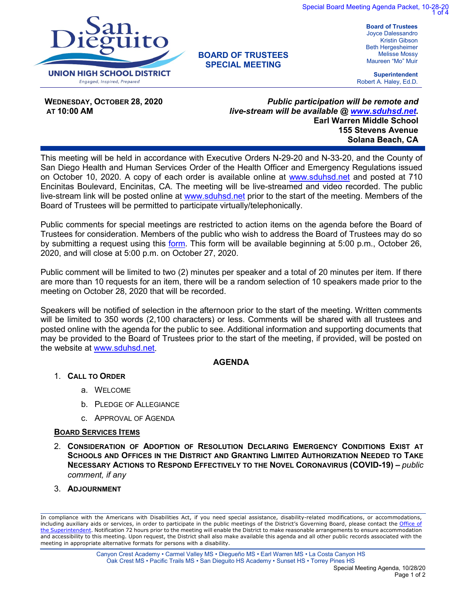



# **BOARD OF TRUSTEES SPECIAL MEETING**

Joyce Dalessandro Kristin Gibson Beth Hergesheimer Melisse Mossy Maureen "Mo" Muir

**Superintendent** Robert A. Haley, Ed.D.

**WEDNESDAY, OCTOBER 28, 2020 AT 10:00 AM** 

*Public participation will be remote and live-stream will be available @ [www.sduhsd.net.](http://www.sduhsd.net/)* **Earl Warren Middle School 155 Stevens Avenue Solana Beach, CA**

 This meeting will be held in accordance with Executive Orders N-29-20 and N-33-20, and the County of San Diego Health and Human Services Order of the Health Officer and Emergency Regulations issued on October 10, 2020. A copy of each order is available online at [www.sduhsd.net](http://www.sduhsd.net/) and posted at 710 Encinitas Boulevard, Encinitas, CA. The meeting will be live-streamed and video recorded. The public live-stream link will be posted online at [www.sduhsd.net](http://www.sduhsd.net/) prior to the start of the meeting. Members of the Board of Trustees will be permitted to participate virtually/telephonically.

Public comments for special meetings are restricted to action items on the agenda before the Board of Trustees for consideration. Members of the public who wish to address the Board of Trustees may do so by submitting a request using this [form.](https://forms.gle/PWUqfwpbFa4QCqGY9) This form will be available beginning at 5:00 p.m., October 26, 2020, and will close at 5:00 p.m. on October 27, 2020.

Public comment will be limited to two (2) minutes per speaker and a total of 20 minutes per item. If there are more than 10 requests for an item, there will be a random selection of 10 speakers made prior to the meeting on October 28, 2020 that will be recorded.

Speakers will be notified of selection in the afternoon prior to the start of the meeting. Written comments will be limited to 350 words (2,100 characters) or less. Comments will be shared with all trustees and posted online with the agenda for the public to see. Additional information and supporting documents that may be provided to the Board of Trustees prior to the start of the meeting, if provided, will be posted on the website at www.sduhsd.net.

## **AGENDA**

- 1. **CALL TO ORDER**
	- a. WELCOME
	- b. PLEDGE OF ALLEGIANCE
	- c. APPROVAL OF AGENDA

## **BOARD SERVICES ITEMS**

- 2. **CONSIDERATION OF ADOPTION OF RESOLUTION DECLARING EMERGENCY CONDITIONS EXIST AT SCHOOLS AND OFFICES IN THE DISTRICT AND GRANTING LIMITED AUTHORIZATION NEEDED TO TAKE NECESSARY ACTIONS TO RESPOND EFFECTIVELY TO THE NOVEL CORONAVIRUS (COVID-19) –** *public comment, if any*
- 3. **ADJOURNMENT**

In compliance with the Americans with Disabilities Act, if you need special assistance, disability-related modifications, or accommodations, including auxiliary aids or services, in order to participate in the public meetings of the District's Governing Board, please contact the [Office of](http://www.sduhsd.net/about/dept-superintendent.htm)  [the Superintendent.](http://www.sduhsd.net/about/dept-superintendent.htm) Notification 72 hours prior to the meeting will enable the District to make reasonable arrangements to ensure accommodation and accessibility to this meeting. Upon request, the District shall also make available this agenda and all other public records associated with the meeting in appropriate alternative formats for persons with a disability.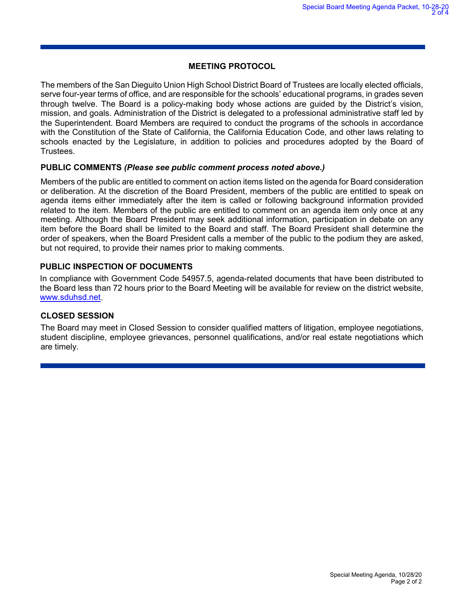## **MEETING PROTOCOL**

The members of the San Dieguito Union High School District Board of Trustees are locally elected officials, serve four-year terms of office, and are responsible for the schools' educational programs, in grades seven through twelve. The Board is a policy-making body whose actions are guided by the District's vision, mission, and goals. Administration of the District is delegated to a professional administrative staff led by the Superintendent. Board Members are required to conduct the programs of the schools in accordance with the Constitution of the State of California, the California Education Code, and other laws relating to schools enacted by the Legislature, in addition to policies and procedures adopted by the Board of Trustees.

## **PUBLIC COMMENTS** *(Please see public comment process noted above.)*

Members of the public are entitled to comment on action items listed on the agenda for Board consideration or deliberation. At the discretion of the Board President, members of the public are entitled to speak on agenda items either immediately after the item is called or following background information provided related to the item. Members of the public are entitled to comment on an agenda item only once at any meeting. Although the Board President may seek additional information, participation in debate on any item before the Board shall be limited to the Board and staff. The Board President shall determine the order of speakers, when the Board President calls a member of the public to the podium they are asked, but not required, to provide their names prior to making comments.

## **PUBLIC INSPECTION OF DOCUMENTS**

In compliance with Government Code 54957.5, agenda-related documents that have been distributed to the Board less than 72 hours prior to the Board Meeting will be available for review on the district website, [www.sduhsd.net.](http://www.sduhsd.net/)

## **CLOSED SESSION**

The Board may meet in Closed Session to consider qualified matters of litigation, employee negotiations, student discipline, employee grievances, personnel qualifications, and/or real estate negotiations which are timely.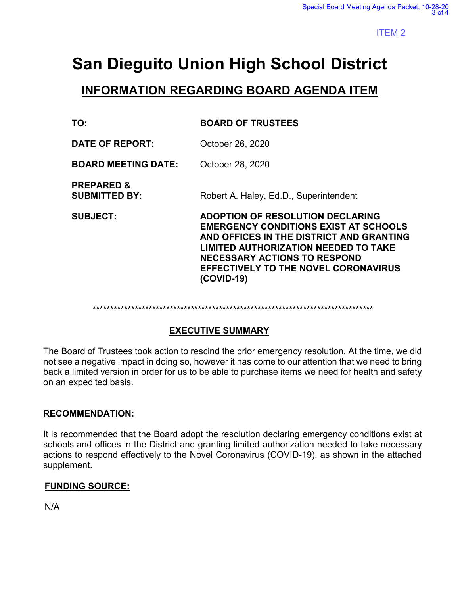# **San Dieguito Union High School District**

# **INFORMATION REGARDING BOARD AGENDA ITEM**

| TO:                                           | <b>BOARD OF TRUSTEES</b>                                                                                                                                                                                                                                                        |
|-----------------------------------------------|---------------------------------------------------------------------------------------------------------------------------------------------------------------------------------------------------------------------------------------------------------------------------------|
| <b>DATE OF REPORT:</b>                        | October 26, 2020                                                                                                                                                                                                                                                                |
| <b>BOARD MEETING DATE:</b>                    | October 28, 2020                                                                                                                                                                                                                                                                |
| <b>PREPARED &amp;</b><br><b>SUBMITTED BY:</b> | Robert A. Haley, Ed.D., Superintendent                                                                                                                                                                                                                                          |
| <b>SUBJECT:</b>                               | ADOPTION OF RESOLUTION DECLARING<br><b>EMERGENCY CONDITIONS EXIST AT SCHOOLS</b><br>AND OFFICES IN THE DISTRICT AND GRANTING<br><b>LIMITED AUTHORIZATION NEEDED TO TAKE</b><br><b>NECESSARY ACTIONS TO RESPOND</b><br><b>EFFECTIVELY TO THE NOVEL CORONAVIRUS</b><br>(COVID-19) |

\*\*\*\*\*\*\*\*\*\*\*\*\*\*\*\*\*\*\*\*\*\*\*\*\*\*\*\*\*\*\*\*\*\*\*\*\*\*\*\*\*\*\*\*\*\*\*\*\*\*\*\*\*\*\*\*\*\*\*\*\*\*\*\*\*\*\*\*\*\*\*\*\*\*\*\*\*\*\*\*

# **EXECUTIVE SUMMARY**

The Board of Trustees took action to rescind the prior emergency resolution. At the time, we did not see a negative impact in doing so, however it has come to our attention that we need to bring back a limited version in order for us to be able to purchase items we need for health and safety on an expedited basis.

# **RECOMMENDATION:**

It is recommended that the Board adopt the resolution declaring emergency conditions exist at schools and offices in the District and granting limited authorization needed to take necessary actions to respond effectively to the Novel Coronavirus (COVID-19), as shown in the attached supplement.

# **FUNDING SOURCE:**

N/A